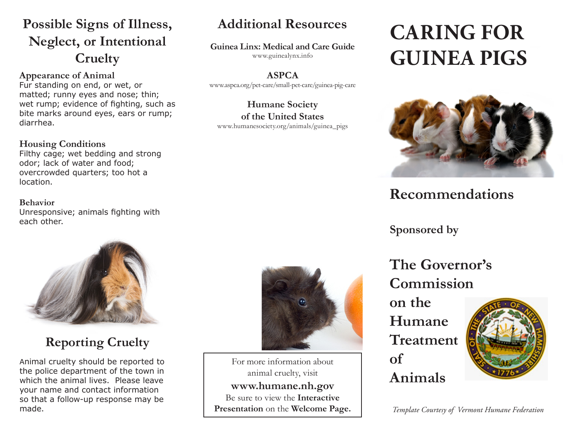## **Possible Signs of Illness, Neglect, or Intentional Cruelty**

**Appearance of Animal**

Fur standing on end, or wet, or matted; runny eyes and nose; thin; wet rump; evidence of fighting, such as bite marks around eyes, ears or rump; diarrhea.

#### **Housing Conditions**

Filthy cage; wet bedding and strong odor; lack of water and food; overcrowded quarters; too hot a location.

#### **Behavior**

Unresponsive; animals fighting with each other.



## **Reporting Cruelty**

Animal cruelty should be reported to the police department of the town in which the animal lives. Please leave your name and contact information so that a follow-up response may be made.

## **Additional Resources**

**Guinea Linx: Medical and Care Guide**

www.guinealynx.info

**ASPCA** www.aspca.org/pet-care/small-pet-care/guinea-pig-care

**Humane Society of the United States** www.humanesociety.org/animals/guinea\_pigs

# **CARING FOR GUINEA PIGS**



# **Recommendations**

**Sponsored by**

**The Governor's Commission** 

**on the Humane Treatment of Animals**



*Template Courtesy of Vermont Humane Federation* 



For more information about animal cruelty, visit **www.humane.nh.gov** Be sure to view the **Interactive Presentation** on the **Welcome Page.**